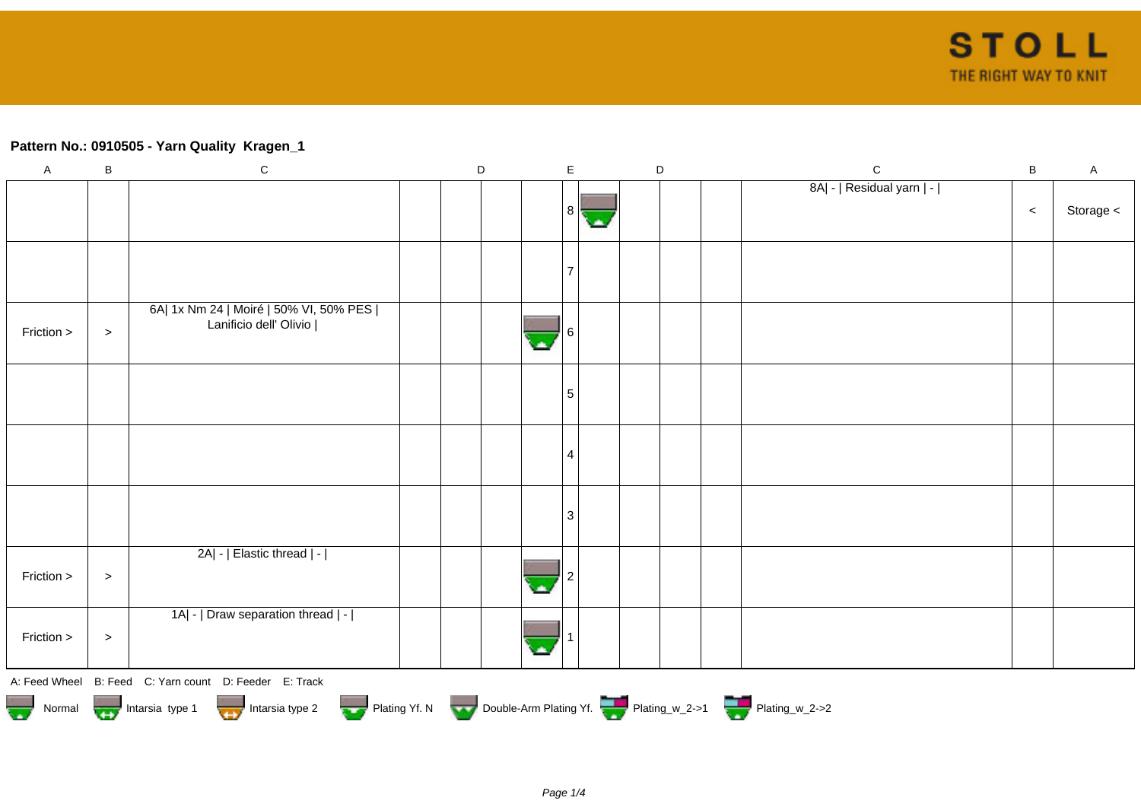## **Pattern No.: 0910505 - Yarn Quality Kragen\_1**

| $\mathsf A$ | $\sf B$   | ${\bf C}$                                                                   | D | $\mathsf E$ |  | D | $\mathsf{C}$              | B     | A         |
|-------------|-----------|-----------------------------------------------------------------------------|---|-------------|--|---|---------------------------|-------|-----------|
|             |           |                                                                             |   | 81          |  |   | 8A  -   Residual yarn   - | $\,<$ | Storage < |
|             |           |                                                                             |   |             |  |   |                           |       |           |
| Friction >  | $\, >$    | 6A  1x Nm 24   Moiré   50% VI, 50% PES  <br>Lanificio dell' Olivio          |   |             |  |   |                           |       |           |
|             |           |                                                                             |   | 5           |  |   |                           |       |           |
|             |           |                                                                             |   | 4           |  |   |                           |       |           |
|             |           |                                                                             |   | 3           |  |   |                           |       |           |
| Friction >  | $\, > \,$ | 2A  -   Elastic thread   -                                                  |   |             |  |   |                           |       |           |
| Friction >  | $\,>$     | 1A  -   Draw separation thread   -                                          |   |             |  |   |                           |       |           |
|             |           | A: Feed Wheel B: Feed C: Yarn count D: Feeder E: Track                      |   |             |  |   |                           |       |           |
|             |           | Normal Intarsia type 1 Intarsia type 2 Plating Yf. N Double-Arm Plating Yf. |   |             |  |   |                           |       |           |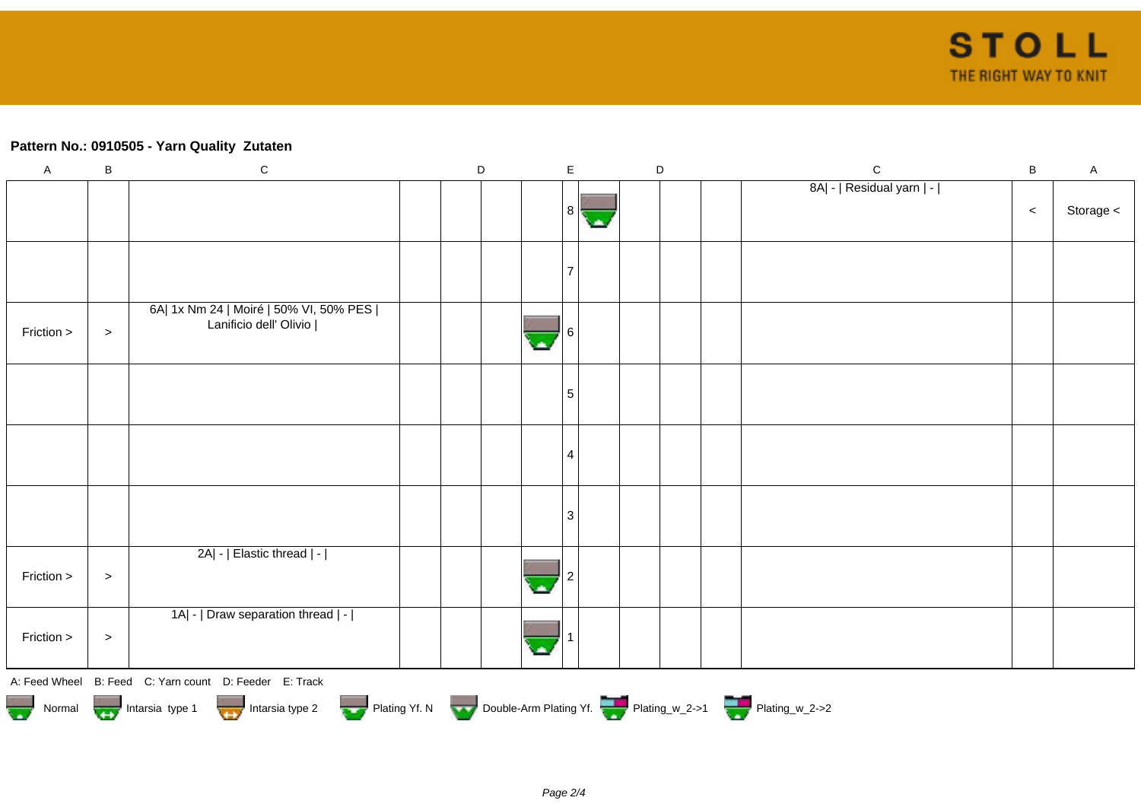## **Pattern No.: 0910505 - Yarn Quality Zutaten**

| $\overline{A}$                                                                                                                                                                                                                       | $\sf B$ | ${\bf C}$                                                          | D |  | $\mathsf E$ | $\mathsf D$ |  | $\mathbf C$               | $\sf B$ | $\mathsf A$ |
|--------------------------------------------------------------------------------------------------------------------------------------------------------------------------------------------------------------------------------------|---------|--------------------------------------------------------------------|---|--|-------------|-------------|--|---------------------------|---------|-------------|
|                                                                                                                                                                                                                                      |         |                                                                    |   |  | 81          |             |  | 8A  -   Residual yarn   - | $\,<$   | Storage <   |
|                                                                                                                                                                                                                                      |         |                                                                    |   |  |             |             |  |                           |         |             |
| Friction >                                                                                                                                                                                                                           | $\, >$  | 6A  1x Nm 24   Moiré   50% VI, 50% PES  <br>Lanificio dell' Olivio |   |  |             |             |  |                           |         |             |
|                                                                                                                                                                                                                                      |         |                                                                    |   |  | 5           |             |  |                           |         |             |
|                                                                                                                                                                                                                                      |         |                                                                    |   |  | 4           |             |  |                           |         |             |
|                                                                                                                                                                                                                                      |         |                                                                    |   |  | 3           |             |  |                           |         |             |
| Friction >                                                                                                                                                                                                                           | $\, >$  | 2A  -   Elastic thread   -                                         |   |  |             |             |  |                           |         |             |
| Friction >                                                                                                                                                                                                                           | $\, >$  | 1A  -   Draw separation thread   -                                 |   |  |             |             |  |                           |         |             |
|                                                                                                                                                                                                                                      |         | A: Feed Wheel B: Feed C: Yarn count D: Feeder E: Track             |   |  |             |             |  |                           |         |             |
| Normal <b>Department of the State of State of Contracts State of the State of State of State of the State of State of the State of State of Development of the State of Development of the State of the State of the State of th</b> |         |                                                                    |   |  |             |             |  |                           |         |             |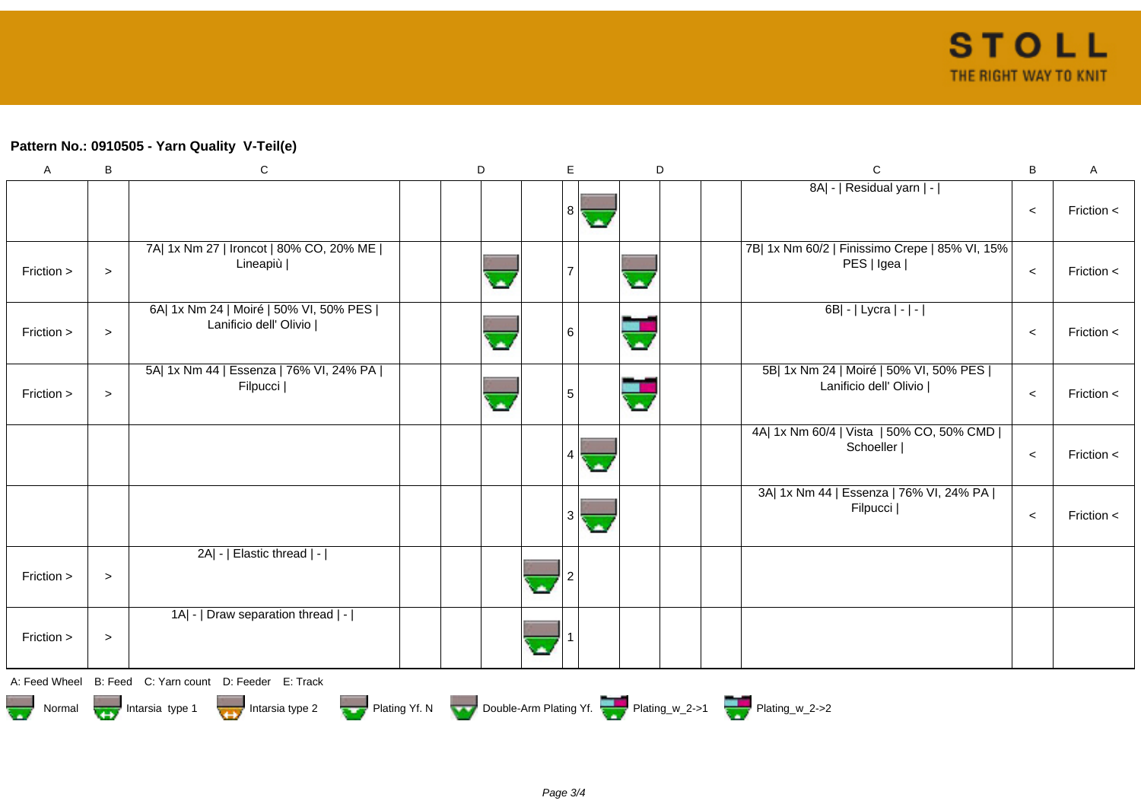## **Pattern No.: 0910505 - Yarn Quality V-Teil(e)**

| $\boldsymbol{\mathsf{A}}$                                                              | B         | ${\bf C}$                                                          |  | D |  | E       | D |  | $\mathbf C$                                                        | B     | A              |
|----------------------------------------------------------------------------------------|-----------|--------------------------------------------------------------------|--|---|--|---------|---|--|--------------------------------------------------------------------|-------|----------------|
|                                                                                        |           |                                                                    |  |   |  | 8<br>с. |   |  | 8A  -   Residual yarn   -                                          | $\,<$ | Friction <     |
| Friction >                                                                             | $\, > \,$ | 7A  1x Nm 27   Ironcot   80% CO, 20% ME  <br>Lineapiù              |  |   |  |         |   |  | 7B  1x Nm 60/2   Finissimo Crepe   85% VI, 15%  <br>PES   Igea     | $\,<$ | Friction $\lt$ |
| Friction >                                                                             | $\, >$    | 6A  1x Nm 24   Moiré   50% VI, 50% PES  <br>Lanificio dell' Olivio |  |   |  | 6       |   |  | 6B  -   Lycra   -   -                                              | $\,<$ | Friction $\lt$ |
| Friction >                                                                             | $\, > \,$ | 5A  1x Nm 44   Essenza   76% VI, 24% PA  <br>Filpucci              |  |   |  | 5       |   |  | 5B  1x Nm 24   Moiré   50% VI, 50% PES  <br>Lanificio dell' Olivio | $\,<$ | Friction <     |
|                                                                                        |           |                                                                    |  |   |  | 4       |   |  | 4A  1x Nm 60/4   Vista   50% CO, 50% CMD  <br>Schoeller            | $\,<$ | Friction <     |
|                                                                                        |           |                                                                    |  |   |  | 3<br>с. |   |  | 3A  1x Nm 44   Essenza   76% VI, 24% PA  <br>Filpucci              | $\,<$ | Friction $<$   |
| Friction >                                                                             | $\, > \,$ | 2A  -   Elastic thread   -                                         |  |   |  |         |   |  |                                                                    |       |                |
| Friction >                                                                             | $\, > \,$ | 1A  -   Draw separation thread   -                                 |  |   |  |         |   |  |                                                                    |       |                |
|                                                                                        |           | A: Feed Wheel B: Feed C: Yarn count D: Feeder E: Track             |  |   |  |         |   |  |                                                                    |       |                |
| Normal <b>Double-Arm Plating Yf. N</b> Double-Arm Plating Yf. N Double-Arm Plating Yf. |           |                                                                    |  |   |  |         |   |  |                                                                    |       |                |